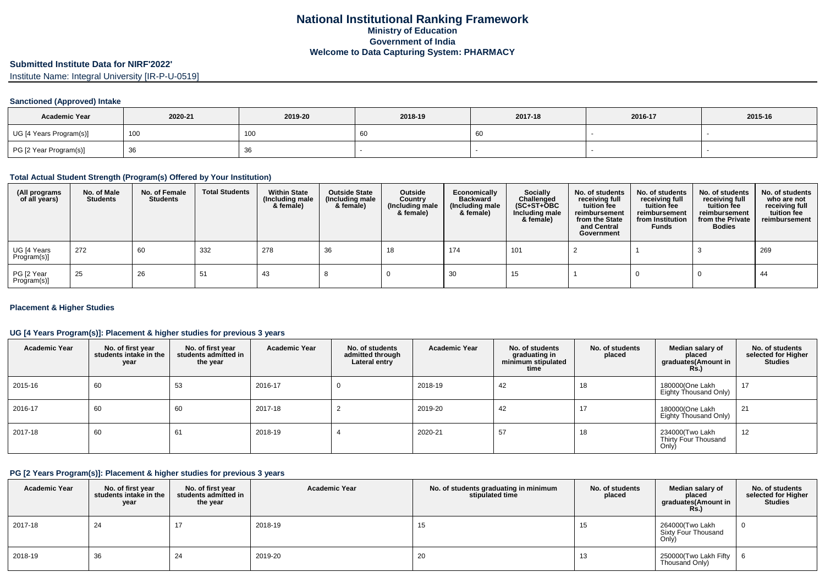# **Submitted Institute Data for NIRF'2022'**

Institute Name: Integral University [IR-P-U-0519]

#### **Sanctioned (Approved) Intake**

| <b>Academic Year</b>    | 2020-21 | 2019-20 | 2018-19 | 2017-18 | 2016-17 | 2015-16 |
|-------------------------|---------|---------|---------|---------|---------|---------|
| UG [4 Years Program(s)] | 100     | 100     |         | ου      |         |         |
| PG [2 Year Program(s)]  |         | ັບ      |         |         |         |         |

### **Total Actual Student Strength (Program(s) Offered by Your Institution)**

| (All programs<br>of all years) | No. of Male<br><b>Students</b> | No. of Female<br>Students | <b>Total Students</b> | <b>Within State</b><br>(Including male<br>& female) | <b>Outside State</b><br>(Including male<br>& female) | Outside<br>Country<br>(Including male<br>& female) | Economically<br>Backward<br>(Including male<br>& female) | Socially<br>Challenged<br>$(SC+ST+OBC)$<br>Including male<br>& female) | No. of students<br>receiving full<br>tuition fee<br>reimbursement<br>from the State<br>and Central<br>Government | No. of students<br>receiving full<br>tuition fee<br>reimbursement<br>from Institution<br><b>Funds</b> | No. of students<br>receiving full<br>tuition fee<br>reimbursement<br>from the Private<br><b>Bodies</b> | No. of students<br>who are not<br>receiving full<br>tuition fee<br>reimbursement |
|--------------------------------|--------------------------------|---------------------------|-----------------------|-----------------------------------------------------|------------------------------------------------------|----------------------------------------------------|----------------------------------------------------------|------------------------------------------------------------------------|------------------------------------------------------------------------------------------------------------------|-------------------------------------------------------------------------------------------------------|--------------------------------------------------------------------------------------------------------|----------------------------------------------------------------------------------|
| UG [4 Years<br>Program(s)]     | 272                            | 60                        | 332                   | 278                                                 | 36                                                   | 18                                                 | 174                                                      | 101                                                                    |                                                                                                                  |                                                                                                       |                                                                                                        | 269                                                                              |
| PG [2 Year<br>Program(s)]      | 25                             | 26                        |                       | 43                                                  |                                                      |                                                    | 30                                                       | 15                                                                     |                                                                                                                  |                                                                                                       |                                                                                                        | 44                                                                               |

### **Placement & Higher Studies**

## **UG [4 Years Program(s)]: Placement & higher studies for previous 3 years**

| <b>Academic Year</b> | No. of first year<br>students intake in the<br>year | No. of first year<br>students admitted in<br>the year | <b>Academic Year</b> | No. of students<br>admitted through<br>Lateral entry | <b>Academic Year</b> | No. of students<br>graduating in<br>minimum stipulated<br>time | No. of students<br>placed | Median salary of<br>placed<br>graduates(Amount in<br><b>Rs.)</b> | No. of students<br>selected for Higher<br><b>Studies</b> |
|----------------------|-----------------------------------------------------|-------------------------------------------------------|----------------------|------------------------------------------------------|----------------------|----------------------------------------------------------------|---------------------------|------------------------------------------------------------------|----------------------------------------------------------|
| 2015-16              | 60                                                  | 53                                                    | 2016-17              | 0                                                    | 2018-19              | 42                                                             | 18                        | 180000(One Lakh<br>Eighty Thousand Only)                         | 17                                                       |
| 2016-17              | 60                                                  | 60                                                    | 2017-18              |                                                      | 2019-20              | 42                                                             | 17                        | 180000(One Lakh<br>Eighty Thousand Only)                         | 21                                                       |
| 2017-18              | 60                                                  | 61                                                    | 2018-19              |                                                      | 2020-21              | 57                                                             | 18                        | 234000(Two Lakh<br>Thirty Four Thousand<br>Only)                 | 12                                                       |

### **PG [2 Years Program(s)]: Placement & higher studies for previous 3 years**

| <b>Academic Year</b> | No. of first year<br>students intake in the<br>year | No. of first year<br>students admitted in<br>the year | <b>Academic Year</b> | No. of students graduating in minimum<br>stipulated time | No. of students<br>placed | Median salary of<br>placed<br>graduates(Amount in<br><b>Rs.)</b> | No. of students<br>selected for Higher<br><b>Studies</b> |
|----------------------|-----------------------------------------------------|-------------------------------------------------------|----------------------|----------------------------------------------------------|---------------------------|------------------------------------------------------------------|----------------------------------------------------------|
| 2017-18              | 24                                                  | 17                                                    | 2018-19              | 15                                                       | 15                        | 264000(Two Lakh<br>Sixty Four Thousand<br>Only,                  | <b>O</b>                                                 |
| 2018-19              | 36                                                  | 24                                                    | 2019-20              | 20                                                       | 13                        | 250000(Two Lakh Fifty<br>Thousand Only)                          | - 6                                                      |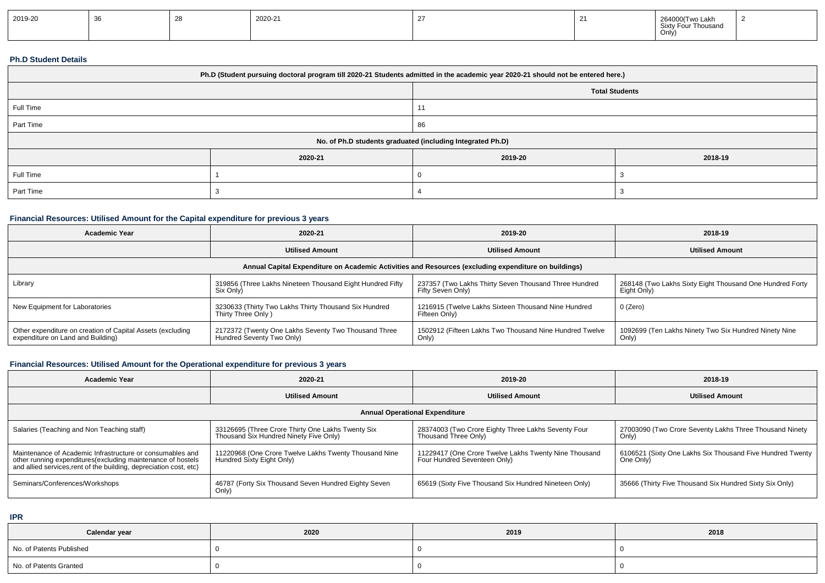| 2019-20 |  |  | 2020-21 |  |  | 264000(Two Lakh<br>Sixty Four Thousand<br>Only, |  |
|---------|--|--|---------|--|--|-------------------------------------------------|--|
|---------|--|--|---------|--|--|-------------------------------------------------|--|

### **Ph.D Student Details**

| Ph.D (Student pursuing doctoral program till 2020-21 Students admitted in the academic year 2020-21 should not be entered here.) |         |                       |         |  |  |
|----------------------------------------------------------------------------------------------------------------------------------|---------|-----------------------|---------|--|--|
|                                                                                                                                  |         | <b>Total Students</b> |         |  |  |
| Full Time                                                                                                                        |         |                       |         |  |  |
| Part Time                                                                                                                        |         | 86                    |         |  |  |
| No. of Ph.D students graduated (including Integrated Ph.D)                                                                       |         |                       |         |  |  |
|                                                                                                                                  | 2020-21 | 2019-20               | 2018-19 |  |  |
| Full Time                                                                                                                        |         |                       |         |  |  |
| Part Time                                                                                                                        |         |                       |         |  |  |

## **Financial Resources: Utilised Amount for the Capital expenditure for previous 3 years**

| Academic Year                                                                                        | 2020-21                                                                           | 2019-20                                                                    | 2018-19                                                                 |  |  |  |  |
|------------------------------------------------------------------------------------------------------|-----------------------------------------------------------------------------------|----------------------------------------------------------------------------|-------------------------------------------------------------------------|--|--|--|--|
|                                                                                                      | <b>Utilised Amount</b>                                                            | <b>Utilised Amount</b>                                                     | <b>Utilised Amount</b>                                                  |  |  |  |  |
| Annual Capital Expenditure on Academic Activities and Resources (excluding expenditure on buildings) |                                                                                   |                                                                            |                                                                         |  |  |  |  |
| Library                                                                                              | 319856 (Three Lakhs Nineteen Thousand Eight Hundred Fifty<br>Six Only)            | 237357 (Two Lakhs Thirty Seven Thousand Three Hundred<br>Fifty Seven Only) | 268148 (Two Lakhs Sixty Eight Thousand One Hundred Forty<br>Eight Only) |  |  |  |  |
| New Equipment for Laboratories                                                                       | 3230633 (Thirty Two Lakhs Thirty Thousand Six Hundred<br>Thirty Three Only)       | 1216915 (Twelve Lakhs Sixteen Thousand Nine Hundred<br>Fifteen Only)       | 0 (Zero)                                                                |  |  |  |  |
| Other expenditure on creation of Capital Assets (excluding<br>expenditure on Land and Building)      | 2172372 (Twenty One Lakhs Seventy Two Thousand Three<br>Hundred Seventy Two Only) | 1502912 (Fifteen Lakhs Two Thousand Nine Hundred Twelve<br>Only)           | 1092699 (Ten Lakhs Ninety Two Six Hundred Ninety Nine<br>Only)          |  |  |  |  |

# **Financial Resources: Utilised Amount for the Operational expenditure for previous 3 years**

| <b>Academic Year</b>                                                                                                                                                                            | 2020-21                                                                                     | 2019-20                                                                               | 2018-19                                                                |  |  |  |  |
|-------------------------------------------------------------------------------------------------------------------------------------------------------------------------------------------------|---------------------------------------------------------------------------------------------|---------------------------------------------------------------------------------------|------------------------------------------------------------------------|--|--|--|--|
|                                                                                                                                                                                                 | <b>Utilised Amount</b>                                                                      | <b>Utilised Amount</b>                                                                | <b>Utilised Amount</b>                                                 |  |  |  |  |
| <b>Annual Operational Expenditure</b>                                                                                                                                                           |                                                                                             |                                                                                       |                                                                        |  |  |  |  |
| Salaries (Teaching and Non Teaching staff)                                                                                                                                                      | 33126695 (Three Crore Thirty One Lakhs Twenty Six<br>Thousand Six Hundred Ninety Five Only) | 28374003 (Two Crore Eighty Three Lakhs Seventy Four<br>Thousand Three Only)           | 27003090 (Two Crore Seventy Lakhs Three Thousand Ninety<br>Only)       |  |  |  |  |
| Maintenance of Academic Infrastructure or consumables and<br>other running expenditures (excluding maintenance of hostels<br>and allied services, rent of the building, depreciation cost, etc) | 11220968 (One Crore Twelve Lakhs Twenty Thousand Nine<br>Hundred Sixty Eight Only)          | 11229417 (One Crore Twelve Lakhs Twenty Nine Thousand<br>Four Hundred Seventeen Only) | 6106521 (Sixty One Lakhs Six Thousand Five Hundred Twenty<br>One Only) |  |  |  |  |
| Seminars/Conferences/Workshops                                                                                                                                                                  | 46787 (Forty Six Thousand Seven Hundred Eighty Seven<br>Only)                               | 65619 (Sixty Five Thousand Six Hundred Nineteen Only)                                 | 35666 (Thirty Five Thousand Six Hundred Sixty Six Only)                |  |  |  |  |

**IPR**

| Calendar year            | 2020 | 2019 | 2018 |
|--------------------------|------|------|------|
| No. of Patents Published |      |      |      |
| No. of Patents Granted   |      |      |      |